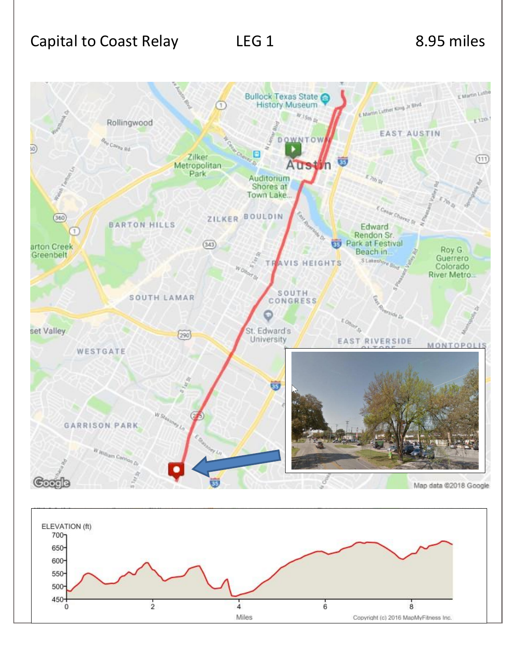

Miles

Copyright (c) 2016 MapMyFitness Inc.